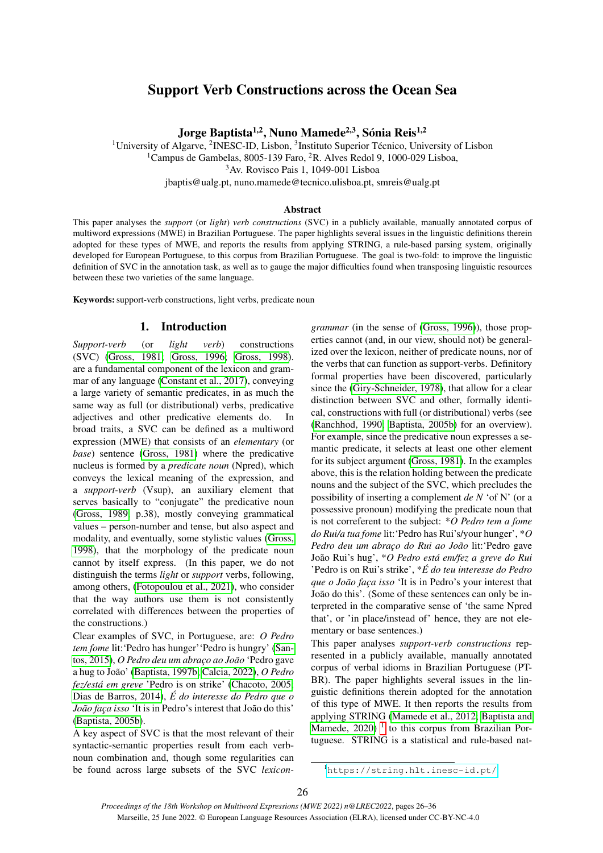# Support Verb Constructions across the Ocean Sea

Jorge Baptista<sup>1,2</sup>, Nuno Mamede<sup>2,3</sup>, Sónia Reis<sup>1,2</sup>

<sup>1</sup>University of Algarve, <sup>2</sup>INESC-ID, Lisbon, <sup>3</sup>Instituto Superior Técnico, University of Lisbon

<sup>1</sup>Campus de Gambelas, 8005-139 Faro, <sup>2</sup>R. Alves Redol 9, 1000-029 Lisboa,

<sup>3</sup>Av. Rovisco Pais 1, 1049-001 Lisboa

jbaptis@ualg.pt, nuno.mamede@tecnico.ulisboa.pt, smreis@ualg.pt

## Abstract

This paper analyses the *support* (or *light*) *verb constructions* (SVC) in a publicly available, manually annotated corpus of multiword expressions (MWE) in Brazilian Portuguese. The paper highlights several issues in the linguistic definitions therein adopted for these types of MWE, and reports the results from applying STRING, a rule-based parsing system, originally developed for European Portuguese, to this corpus from Brazilian Portuguese. The goal is two-fold: to improve the linguistic definition of SVC in the annotation task, as well as to gauge the major difficulties found when transposing linguistic resources between these two varieties of the same language.

Keywords: support-verb constructions, light verbs, predicate noun

## 1. Introduction

*Support-verb* (or *light verb*) constructions (SVC) [\(Gross, 1981;](#page-9-0) [Gross, 1996;](#page-9-1) [Gross, 1998\)](#page-9-2). are a fundamental component of the lexicon and grammar of any language [\(Constant et al., 2017\)](#page-9-3), conveying a large variety of semantic predicates, in as much the same way as full (or distributional) verbs, predicative adjectives and other predicative elements do. In broad traits, a SVC can be defined as a multiword expression (MWE) that consists of an *elementary* (or *base*) sentence [\(Gross, 1981\)](#page-9-0) where the predicative nucleus is formed by a *predicate noun* (Npred), which conveys the lexical meaning of the expression, and a *support-verb* (Vsup), an auxiliary element that serves basically to "conjugate" the predicative noun [\(Gross, 1989,](#page-9-4) p.38), mostly conveying grammatical values – person-number and tense, but also aspect and modality, and eventually, some stylistic values [\(Gross,](#page-9-2) [1998\)](#page-9-2), that the morphology of the predicate noun cannot by itself express. (In this paper, we do not distinguish the terms *light* or *support* verbs, following, among others, [\(Fotopoulou et al., 2021\)](#page-9-5), who consider that the way authors use them is not consistently correlated with differences between the properties of the constructions.)

Clear examples of SVC, in Portuguese, are: *O Pedro* tem fome lit: 'Pedro has hunger' 'Pedro is hungry' [\(San](#page-10-0)[tos, 2015\)](#page-10-0), *O Pedro deu um abraço ao João* 'Pedro gave a hug to Joao' [\(Baptista, 1997b;](#page-8-0) [Calcia, 2022\)](#page-8-1), ˜ *O Pedro fez/esta em greve ´* 'Pedro is on strike' [\(Chacoto, 2005;](#page-9-6) [Dias de Barros, 2014\)](#page-9-7), *E do interesse do Pedro que o ´ João faca isso* 'It is in Pedro's interest that João do this' [\(Baptista, 2005b\)](#page-8-2).

A key aspect of SVC is that the most relevant of their syntactic-semantic properties result from each verbnoun combination and, though some regularities can be found across large subsets of the SVC *lexicon-* *grammar* (in the sense of [\(Gross, 1996\)](#page-9-1)), those properties cannot (and, in our view, should not) be generalized over the lexicon, neither of predicate nouns, nor of the verbs that can function as support-verbs. Definitory formal properties have been discovered, particularly since the [\(Giry-Schneider, 1978\)](#page-9-8), that allow for a clear distinction between SVC and other, formally identical, constructions with full (or distributional) verbs (see [\(Ranchhod, 1990;](#page-9-9) [Baptista, 2005b\)](#page-8-2) for an overview). For example, since the predicative noun expresses a semantic predicate, it selects at least one other element for its subject argument [\(Gross, 1981\)](#page-9-0). In the examples above, this is the relation holding between the predicate nouns and the subject of the SVC, which precludes the possibility of inserting a complement *de N* 'of N' (or a possessive pronoun) modifying the predicate noun that is not correferent to the subject: \**O Pedro tem a fome do Rui/a tua fome* lit:'Pedro has Rui's/your hunger', \**O* Pedro deu um abraço do Rui ao João lit: 'Pedro gave Joao Rui's hug', \* ˜ *O Pedro esta em/fez a greve do Rui ´* 'Pedro is on Rui's strike', \**E do teu interesse do Pedro ´ que o João faça isso* 'It is in Pedro's your interest that João do this'. (Some of these sentences can only be interpreted in the comparative sense of 'the same Npred that', or 'in place/instead of' hence, they are not elementary or base sentences.)

This paper analyses *support-verb constructions* represented in a publicly available, manually annotated corpus of verbal idioms in Brazilian Portuguese (PT-BR). The paper highlights several issues in the linguistic definitions therein adopted for the annotation of this type of MWE. It then reports the results from applying STRING [\(Mamede et al., 2012;](#page-9-10) [Baptista and](#page-8-3) Mamede,  $2020$ )<sup>[1](#page-0-0)</sup> to this corpus from Brazilian Portuguese. STRING is a statistical and rule-based nat-

<span id="page-0-0"></span><sup>1</sup><https://string.hlt.inesc-id.pt/>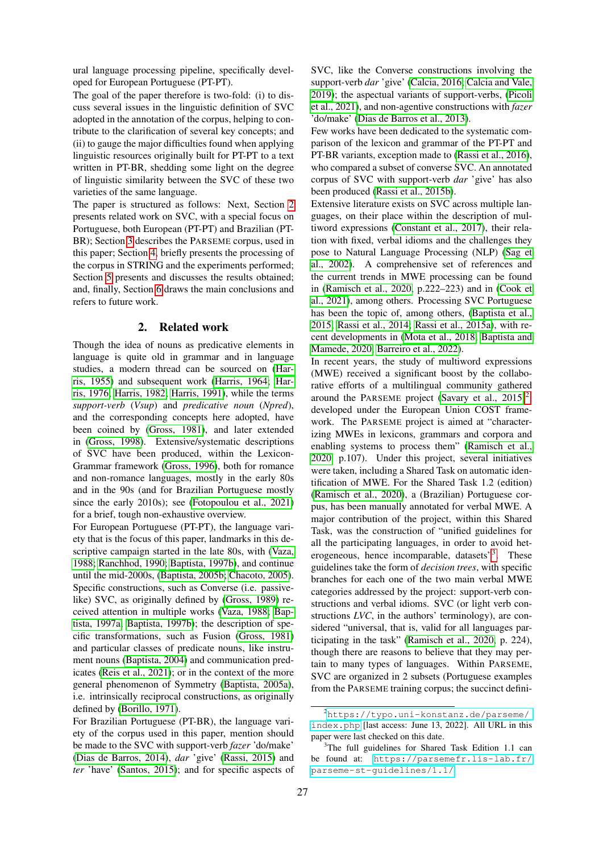ural language processing pipeline, specifically developed for European Portuguese (PT-PT).

The goal of the paper therefore is two-fold: (i) to discuss several issues in the linguistic definition of SVC adopted in the annotation of the corpus, helping to contribute to the clarification of several key concepts; and (ii) to gauge the major difficulties found when applying linguistic resources originally built for PT-PT to a text written in PT-BR, shedding some light on the degree of linguistic similarity between the SVC of these two varieties of the same language.

The paper is structured as follows: Next, Section [2](#page-1-0) presents related work on SVC, with a special focus on Portuguese, both European (PT-PT) and Brazilian (PT-BR); Section [3](#page-2-0) describes the PARSEME corpus, used in this paper; Section [4,](#page-4-0) briefly presents the processing of the corpus in STRING and the experiments performed; Section [5](#page-6-0) presents and discusses the results obtained; and, finally, Section [6](#page-7-0) draws the main conclusions and refers to future work.

## 2. Related work

<span id="page-1-0"></span>Though the idea of nouns as predicative elements in language is quite old in grammar and in language studies, a modern thread can be sourced on [\(Har](#page-9-11)[ris, 1955\)](#page-9-11) and subsequent work [\(Harris, 1964;](#page-9-12) [Har](#page-9-13)[ris, 1976;](#page-9-13) [Harris, 1982;](#page-9-14) [Harris, 1991\)](#page-9-15), while the terms *support-verb* (*Vsup*) and *predicative noun* (*Npred*), and the corresponding concepts here adopted, have been coined by [\(Gross, 1981\)](#page-9-0), and later extended in [\(Gross, 1998\)](#page-9-2). Extensive/systematic descriptions of SVC have been produced, within the Lexicon-Grammar framework [\(Gross, 1996\)](#page-9-1), both for romance and non-romance languages, mostly in the early 80s and in the 90s (and for Brazilian Portuguese mostly since the early 2010s); see [\(Fotopoulou et al., 2021\)](#page-9-5) for a brief, tough non-exhaustive overview.

For European Portuguese (PT-PT), the language variety that is the focus of this paper, landmarks in this descriptive campaign started in the late 80s, with [\(Vaza,](#page-10-1) [1988;](#page-10-1) [Ranchhod, 1990;](#page-9-9) [Baptista, 1997b\)](#page-8-0), and continue until the mid-2000s, [\(Baptista, 2005b;](#page-8-2) [Chacoto, 2005\)](#page-9-6). Specific constructions, such as Converse (i.e. passivelike) SVC, as originally defined by [\(Gross, 1989\)](#page-9-4) received attention in multiple works [\(Vaza, 1988;](#page-10-1) [Bap](#page-8-4)[tista, 1997a;](#page-8-4) [Baptista, 1997b\)](#page-8-0); the description of specific transformations, such as Fusion [\(Gross, 1981\)](#page-9-0) and particular classes of predicate nouns, like instrument nouns [\(Baptista, 2004\)](#page-8-5) and communication predicates [\(Reis et al., 2021\)](#page-10-2); or in the context of the more general phenomenon of Symmetry [\(Baptista, 2005a\)](#page-8-6), i.e. intrinsically reciprocal constructions, as originally defined by [\(Borillo, 1971\)](#page-8-7).

SVC, like the Converse constructions involving the support-verb *dar* 'give' [\(Calcia, 2016;](#page-8-8) [Calcia and Vale,](#page-8-9) [2019\)](#page-8-9); the aspectual variants of support-verbs, [\(Picoli](#page-9-16) [et al., 2021\)](#page-9-16), and non-agentive constructions with *fazer* 'do/make' [\(Dias de Barros et al., 2013\)](#page-9-17).

Few works have been dedicated to the systematic comparison of the lexicon and grammar of the PT-PT and PT-BR variants, exception made to [\(Rassi et al., 2016\)](#page-9-18), who compared a subset of converse SVC. An annotated corpus of SVC with support-verb *dar* 'give' has also been produced [\(Rassi et al., 2015b\)](#page-9-19).

Extensive literature exists on SVC across multiple languages, on their place within the description of multiword expressions [\(Constant et al., 2017\)](#page-9-3), their relation with fixed, verbal idioms and the challenges they pose to Natural Language Processing (NLP) [\(Sag et](#page-10-4) [al., 2002\)](#page-10-4). A comprehensive set of references and the current trends in MWE processing can be found in [\(Ramisch et al., 2020,](#page-9-20) p.222–223) and in [\(Cook et](#page-9-21) [al., 2021\)](#page-9-21), among others. Processing SVC Portuguese has been the topic of, among others, [\(Baptista et al.,](#page-8-10) [2015;](#page-8-10) [Rassi et al., 2014;](#page-9-22) [Rassi et al., 2015a\)](#page-9-23), with recent developments in [\(Mota et al., 2018;](#page-9-24) [Baptista and](#page-8-3) [Mamede, 2020;](#page-8-3) [Barreiro et al., 2022\)](#page-8-11).

In recent years, the study of multiword expressions (MWE) received a significant boost by the collaborative efforts of a multilingual community gathered around the PARSEME project (Savary et al.,  $2015$  $2015$ )<sup>2</sup>, developed under the European Union COST framework. The PARSEME project is aimed at "characterizing MWEs in lexicons, grammars and corpora and enabling systems to process them" [\(Ramisch et al.,](#page-9-20) [2020,](#page-9-20) p.107). Under this project, several initiatives were taken, including a Shared Task on automatic identification of MWE. For the Shared Task 1.2 (edition) [\(Ramisch et al., 2020\)](#page-9-20), a (Brazilian) Portuguese corpus, has been manually annotated for verbal MWE. A major contribution of the project, within this Shared Task, was the construction of "unified guidelines for all the participating languages, in order to avoid het-erogeneous, hence incomparable, datasets"[3](#page-1-2). These guidelines take the form of *decision trees*, with specific branches for each one of the two main verbal MWE categories addressed by the project: support-verb constructions and verbal idioms. SVC (or light verb constructions *LVC*, in the authors' terminology), are considered "universal, that is, valid for all languages participating in the task" [\(Ramisch et al., 2020,](#page-9-20) p. 224), though there are reasons to believe that they may pertain to many types of languages. Within PARSEME, SVC are organized in 2 subsets (Portuguese examples from the PARSEME training corpus; the succinct defini-

For Brazilian Portuguese (PT-BR), the language variety of the corpus used in this paper, mention should be made to the SVC with support-verb *fazer* 'do/make' [\(Dias de Barros, 2014\)](#page-9-7), *dar* 'give' [\(Rassi, 2015\)](#page-10-3) and *ter* 'have' [\(Santos, 2015\)](#page-10-0); and for specific aspects of

<span id="page-1-1"></span><sup>2</sup>[https://typo.uni-konstanz.de/parseme/](https://typo.uni-konstanz.de/parseme/index.php) [index.php](https://typo.uni-konstanz.de/parseme/index.php) [last access: June 13, 2022]. All URL in this paper were last checked on this date.

<span id="page-1-2"></span><sup>&</sup>lt;sup>3</sup>The full guidelines for Shared Task Edition 1.1 can be found at: [https://parsemefr.lis-lab.fr/](https://parsemefr.lis-lab.fr/parseme-st-guidelines/1.1/) [parseme-st-guidelines/1.1/](https://parsemefr.lis-lab.fr/parseme-st-guidelines/1.1/)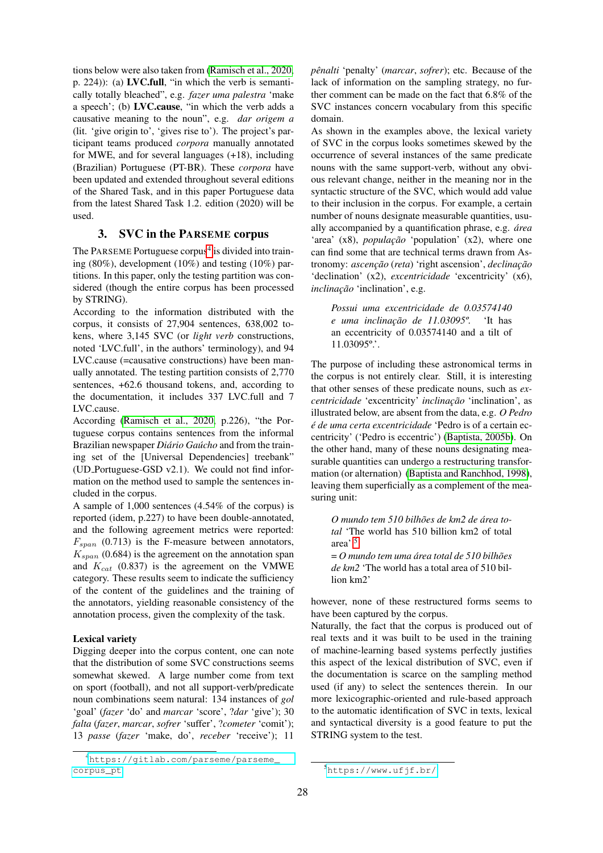tions below were also taken from [\(Ramisch et al., 2020,](#page-9-20) p. 224)): (a) LVC.full, "in which the verb is semantically totally bleached", e.g. *fazer uma palestra* 'make a speech'; (b) LVC.cause, "in which the verb adds a causative meaning to the noun", e.g. *dar origem a* (lit. 'give origin to', 'gives rise to'). The project's participant teams produced *corpora* manually annotated for MWE, and for several languages (+18), including (Brazilian) Portuguese (PT-BR). These *corpora* have been updated and extended throughout several editions of the Shared Task, and in this paper Portuguese data from the latest Shared Task 1.2. edition (2020) will be used.

## 3. SVC in the PARSEME corpus

<span id="page-2-0"></span>The PARSEME Portuguese corpus<sup>[4](#page-2-1)</sup> is divided into training (80%), development (10%) and testing (10%) partitions. In this paper, only the testing partition was considered (though the entire corpus has been processed by STRING).

According to the information distributed with the corpus, it consists of 27,904 sentences, 638,002 tokens, where 3,145 SVC (or *light verb* constructions, noted 'LVC.full', in the authors' terminology), and 94 LVC.cause (=causative constructions) have been manually annotated. The testing partition consists of 2,770 sentences, +62.6 thousand tokens, and, according to the documentation, it includes 337 LVC.full and 7 LVC.cause.

According [\(Ramisch et al., 2020,](#page-9-20) p.226), "the Portuguese corpus contains sentences from the informal Brazilian newspaper *Diário Gaúcho* and from the training set of the [Universal Dependencies] treebank" (UD Portuguese-GSD v2.1). We could not find information on the method used to sample the sentences included in the corpus.

A sample of 1,000 sentences (4.54% of the corpus) is reported (idem, p.227) to have been double-annotated, and the following agreement metrics were reported:  $F_{span}$  (0.713) is the F-measure between annotators,  $K<sub>span</sub>$  (0.684) is the agreement on the annotation span and  $K_{cat}$  (0.837) is the agreement on the VMWE category. These results seem to indicate the sufficiency of the content of the guidelines and the training of the annotators, yielding reasonable consistency of the annotation process, given the complexity of the task.

## Lexical variety

Digging deeper into the corpus content, one can note that the distribution of some SVC constructions seems somewhat skewed. A large number come from text on sport (football), and not all support-verb/predicate noun combinations seem natural: 134 instances of *gol* 'goal' (*fazer* 'do' and *marcar* 'score', ?*dar* 'give'); 30 *falta* (*fazer*, *marcar*, *sofrer* 'suffer', ?*cometer* 'comit'); 13 *passe* (*fazer* 'make, do', *receber* 'receive'); 11

*penalti ˆ* 'penalty' (*marcar*, *sofrer*); etc. Because of the lack of information on the sampling strategy, no further comment can be made on the fact that 6.8% of the SVC instances concern vocabulary from this specific domain.

As shown in the examples above, the lexical variety of SVC in the corpus looks sometimes skewed by the occurrence of several instances of the same predicate nouns with the same support-verb, without any obvious relevant change, neither in the meaning nor in the syntactic structure of the SVC, which would add value to their inclusion in the corpus. For example, a certain number of nouns designate measurable quantities, usually accompanied by a quantification phrase, e.g. *area ´* 'area' (x8), *população* 'population' (x2), where one can find some that are technical terms drawn from Astronomy: *ascenção* (*reta*) 'right ascension', *declinação* 'declination' (x2), *excentricidade* 'excentricity' (x6), *inclinação* 'inclination', e.g.

*Possui uma excentricidade de 0.03574140 e uma inclinac¸ao de 11.03095º. ˜* 'It has an eccentricity of 0.03574140 and a tilt of 11.03095º.'.

The purpose of including these astronomical terms in the corpus is not entirely clear. Still, it is interesting that other senses of these predicate nouns, such as *excentricidade* 'excentricity' *inclinação* 'inclination', as illustrated below, are absent from the data, e.g. *O Pedro e de uma certa excentricidade ´* 'Pedro is of a certain eccentricity' ('Pedro is eccentric') [\(Baptista, 2005b\)](#page-8-2). On the other hand, many of these nouns designating measurable quantities can undergo a restructuring transformation (or alternation) [\(Baptista and Ranchhod, 1998\)](#page-8-12), leaving them superficially as a complement of the measuring unit:

*O mundo tem 510 bilhoes de km2 de ˜ area to- ´ tal* 'The world has 510 billion km2 of total area' [5](#page-2-2) = *O mundo tem uma area total de 510 bilh ´ oes ˜ de km2* 'The world has a total area of 510 bil-

however, none of these restructured forms seems to have been captured by the corpus.

Naturally, the fact that the corpus is produced out of real texts and it was built to be used in the training of machine-learning based systems perfectly justifies this aspect of the lexical distribution of SVC, even if the documentation is scarce on the sampling method used (if any) to select the sentences therein. In our more lexicographic-oriented and rule-based approach to the automatic identification of SVC in texts, lexical and syntactical diversity is a good feature to put the STRING system to the test.

lion km2'

<span id="page-2-1"></span><sup>4</sup>[https://gitlab.com/parseme/parseme\\_](https://gitlab.com/parseme/parseme_corpus_pt) [corpus\\_pt](https://gitlab.com/parseme/parseme_corpus_pt)

<span id="page-2-2"></span><sup>5</sup><https://www.ufjf.br/>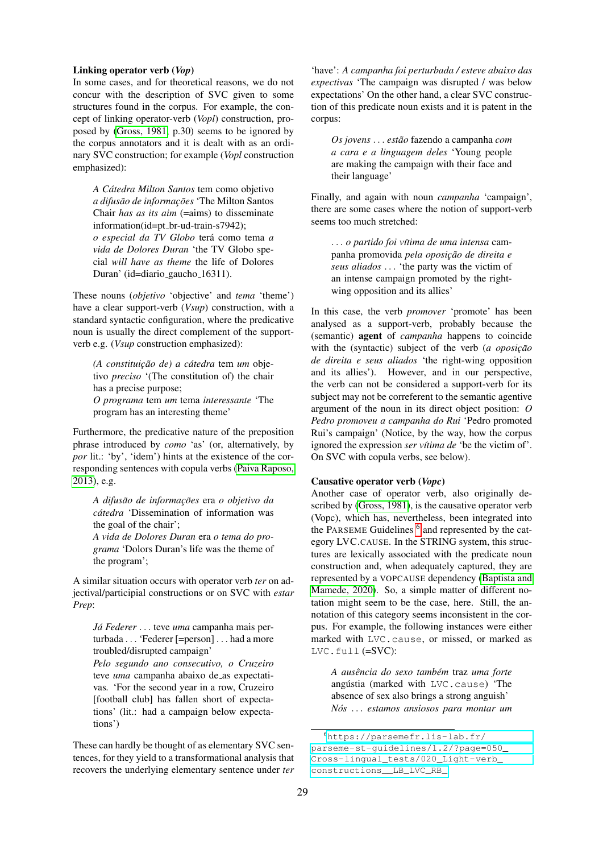## Linking operator verb (*Vop*)

In some cases, and for theoretical reasons, we do not concur with the description of SVC given to some structures found in the corpus. For example, the concept of linking operator-verb (*Vopl*) construction, proposed by [\(Gross, 1981,](#page-9-0) p.30) seems to be ignored by the corpus annotators and it is dealt with as an ordinary SVC construction; for example (*Vopl* construction emphasized):

*A Catedra Milton Santos ´* tem como objetivo *a difusao de informac¸ ˜ oes ˜* 'The Milton Santos Chair *has as its aim* (=aims) to disseminate information(id=pt\_br-ud-train-s7942); *o especial da TV Globo* tera como tema ´ *a vida de Dolores Duran* 'the TV Globo special *will have as theme* the life of Dolores Duran' (id=diario\_gaucho\_16311).

These nouns (*objetivo* 'objective' and *tema* 'theme') have a clear support-verb (*Vsup*) construction, with a standard syntactic configuration, where the predicative noun is usually the direct complement of the supportverb e.g. (*Vsup* construction emphasized):

*(A constituicão de) a cátedra tem um* objetivo *preciso* '(The constitution of) the chair has a precise purpose; *O programa* tem *um* tema *interessante* 'The program has an interesting theme'

Furthermore, the predicative nature of the preposition phrase introduced by *como* 'as' (or, alternatively, by *por* lit.: 'by', 'idem') hints at the existence of the corresponding sentences with copula verbs [\(Paiva Raposo,](#page-9-25) [2013\)](#page-9-25), e.g.

*A difusao de informac¸ ˜ oes ˜* era *o objetivo da catedra ´* 'Dissemination of information was the goal of the chair'; *A vida de Dolores Duran* era *o tema do programa* 'Dolors Duran's life was the theme of the program';

A similar situation occurs with operator verb *ter* on adjectival/participial constructions or on SVC with *estar Prep*:

*Ja Federer ´* . . . teve *uma* campanha mais perturbada . . . 'Federer [=person] . . . had a more troubled/disrupted campaign' *Pelo segundo ano consecutivo, o Cruzeiro* teve *uma* campanha abaixo de as expectativas*.* 'For the second year in a row, Cruzeiro [football club] has fallen short of expectations' (lit.: had a campaign below expectations')

These can hardly be thought of as elementary SVC sentences, for they yield to a transformational analysis that recovers the underlying elementary sentence under *ter*

'have': *A campanha foi perturbada / esteve abaixo das expectivas* 'The campaign was disrupted / was below expectations' On the other hand, a clear SVC construction of this predicate noun exists and it is patent in the corpus:

*Os jovens* . . . *estao˜* fazendo a campanha *com a cara e a linguagem deles* 'Young people are making the campaign with their face and their language'

Finally, and again with noun *campanha* 'campaign', there are some cases where the notion of support-verb seems too much stretched:

. . . *o partido foi v´ıtima de uma intensa* campanha promovida *pela oposição de direita e seus aliados* . . . 'the party was the victim of an intense campaign promoted by the rightwing opposition and its allies'

In this case, the verb *promover* 'promote' has been analysed as a support-verb, probably because the (semantic) agent of *campanha* happens to coincide with the (syntactic) subject of the verb (*a oposição de direita e seus aliados* 'the right-wing opposition and its allies'). However, and in our perspective, the verb can not be considered a support-verb for its subject may not be correferent to the semantic agentive argument of the noun in its direct object position: *O Pedro promoveu a campanha do Rui* 'Pedro promoted Rui's campaign' (Notice, by the way, how the corpus ignored the expression *ser vítima de* 'be the victim of'. On SVC with copula verbs, see below).

## Causative operator verb (*Vopc*)

Another case of operator verb, also originally described by [\(Gross, 1981\)](#page-9-0), is the causative operator verb (Vopc), which has, nevertheless, been integrated into the PARSEME Guidelines <sup>[6](#page-3-0)</sup> and represented by the category LVC.CAUSE. In the STRING system, this structures are lexically associated with the predicate noun construction and, when adequately captured, they are represented by a VOPCAUSE dependency [\(Baptista and](#page-8-3) [Mamede, 2020\)](#page-8-3). So, a simple matter of different notation might seem to be the case, here. Still, the annotation of this category seems inconsistent in the corpus. For example, the following instances were either marked with LVC.cause, or missed, or marked as LVC.full (=SVC):

*A ausencia do sexo tamb ˆ em´* traz *uma forte* angústia (marked with  $LVC$ .cause) 'The absence of sex also brings a strong anguish' *Nos´* . . . *estamos ansiosos para montar um*

<span id="page-3-0"></span><sup>6</sup>[https://parsemefr.lis-lab.fr/](https://parsemefr.lis-lab.fr/parseme-st-guidelines/1.2/?page=050_Cross-lingual_tests/020_Light-verb_constructions__LB_LVC_RB_) [parseme-st-guidelines/1.2/?page=050\\_](https://parsemefr.lis-lab.fr/parseme-st-guidelines/1.2/?page=050_Cross-lingual_tests/020_Light-verb_constructions__LB_LVC_RB_) [Cross-lingual\\_tests/020\\_Light-verb\\_](https://parsemefr.lis-lab.fr/parseme-st-guidelines/1.2/?page=050_Cross-lingual_tests/020_Light-verb_constructions__LB_LVC_RB_) [constructions\\_\\_LB\\_LVC\\_RB\\_](https://parsemefr.lis-lab.fr/parseme-st-guidelines/1.2/?page=050_Cross-lingual_tests/020_Light-verb_constructions__LB_LVC_RB_)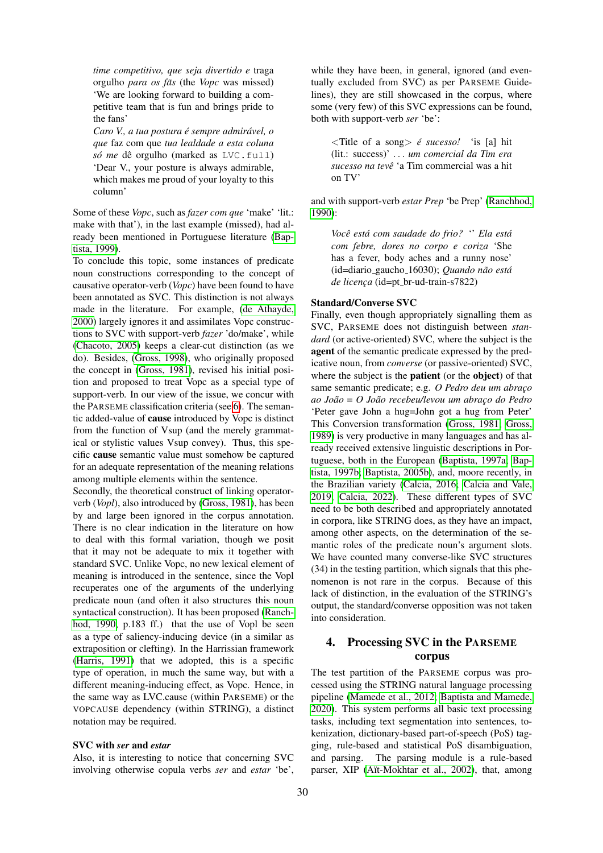*time competitivo, que seja divertido e* traga orgulho *para os fas˜* (the *Vopc* was missed) 'We are looking forward to building a competitive team that is fun and brings pride to the fans'

*Caro V., a tua postura e sempre admir ´ avel, o ´ que* faz com que *tua lealdade a esta coluna só me* dê orgulho (marked as LVC.full) 'Dear V., your posture is always admirable, which makes me proud of your loyalty to this column'

Some of these *Vopc*, such as *fazer com que* 'make' 'lit.: make with that'), in the last example (missed), had already been mentioned in Portuguese literature [\(Bap](#page-8-13)[tista, 1999\)](#page-8-13).

To conclude this topic, some instances of predicate noun constructions corresponding to the concept of causative operator-verb (*Vopc*) have been found to have been annotated as SVC. This distinction is not always made in the literature. For example, [\(de Athayde,](#page-9-26) [2000\)](#page-9-26) largely ignores it and assimilates Vopc constructions to SVC with support-verb *fazer* 'do/make', while [\(Chacoto, 2005\)](#page-9-6) keeps a clear-cut distinction (as we do). Besides, [\(Gross, 1998\)](#page-9-2), who originally proposed the concept in [\(Gross, 1981\)](#page-9-0), revised his initial position and proposed to treat Vopc as a special type of support-verb. In our view of the issue, we concur with the PARSEME classification criteria (see [6\)](#page-3-0). The semantic added-value of cause introduced by Vopc is distinct from the function of Vsup (and the merely grammatical or stylistic values Vsup convey). Thus, this specific cause semantic value must somehow be captured for an adequate representation of the meaning relations among multiple elements within the sentence.

Secondly, the theoretical construct of linking operatorverb (*Vopl*), also introduced by [\(Gross, 1981\)](#page-9-0), has been by and large been ignored in the corpus annotation. There is no clear indication in the literature on how to deal with this formal variation, though we posit that it may not be adequate to mix it together with standard SVC. Unlike Vopc, no new lexical element of meaning is introduced in the sentence, since the Vopl recuperates one of the arguments of the underlying predicate noun (and often it also structures this noun syntactical construction). It has been proposed [\(Ranch](#page-9-9)[hod, 1990,](#page-9-9) p.183 ff.) that the use of Vopl be seen as a type of saliency-inducing device (in a similar as extraposition or clefting). In the Harrissian framework [\(Harris, 1991\)](#page-9-15) that we adopted, this is a specific type of operation, in much the same way, but with a different meaning-inducing effect, as Vopc. Hence, in the same way as LVC.cause (within PARSEME) or the VOPCAUSE dependency (within STRING), a distinct notation may be required.

## SVC with *ser* and *estar*

Also, it is interesting to notice that concerning SVC involving otherwise copula verbs *ser* and *estar* 'be',

while they have been, in general, ignored (and eventually excluded from SVC) as per PARSEME Guidelines), they are still showcased in the corpus, where some (very few) of this SVC expressions can be found, both with support-verb *ser* 'be':

<Title of a song> *e sucesso! ´* 'is [a] hit (lit.: success)' . . . *um comercial da Tim era sucesso na teveˆ* 'a Tim commercial was a hit on TV'

and with support-verb *estar Prep* 'be Prep' [\(Ranchhod,](#page-9-9) [1990\)](#page-9-9):

*Voce est ˆ a com saudade do frio? ´* '' *Ela esta´ com febre, dores no corpo e coriza* 'She has a fever, body aches and a runny nose' (id=diario\_gaucho\_16030); *Quando não está de licença* (id=pt\_br-ud-train-s7822)

### Standard/Converse SVC

Finally, even though appropriately signalling them as SVC, PARSEME does not distinguish between *standard* (or active-oriented) SVC, where the subject is the agent of the semantic predicate expressed by the predicative noun, from *converse* (or passive-oriented) SVC, where the subject is the **patient** (or the **object**) of that same semantic predicate; e.g. O Pedro deu um abraço *ao Joao˜* = *O Joao recebeu/levou um abrac¸o do Pedro ˜* 'Peter gave John a hug=John got a hug from Peter' This Conversion transformation [\(Gross, 1981;](#page-9-0) [Gross,](#page-9-4) [1989\)](#page-9-4) is very productive in many languages and has already received extensive linguistic descriptions in Portuguese, both in the European [\(Baptista, 1997a;](#page-8-4) [Bap](#page-8-0)[tista, 1997b;](#page-8-0) [Baptista, 2005b\)](#page-8-2), and, moore recently, in the Brazilian variety [\(Calcia, 2016;](#page-8-8) [Calcia and Vale,](#page-8-9) [2019;](#page-8-9) [Calcia, 2022\)](#page-8-1). These different types of SVC need to be both described and appropriately annotated in corpora, like STRING does, as they have an impact, among other aspects, on the determination of the semantic roles of the predicate noun's argument slots. We have counted many converse-like SVC structures (34) in the testing partition, which signals that this phenomenon is not rare in the corpus. Because of this lack of distinction, in the evaluation of the STRING's output, the standard/converse opposition was not taken into consideration.

## <span id="page-4-0"></span>4. Processing SVC in the PARSEME corpus

The test partition of the PARSEME corpus was processed using the STRING natural language processing pipeline [\(Mamede et al., 2012;](#page-9-10) [Baptista and Mamede,](#page-8-3) [2020\)](#page-8-3). This system performs all basic text processing tasks, including text segmentation into sentences, tokenization, dictionary-based part-of-speech (PoS) tagging, rule-based and statistical PoS disambiguation, and parsing. The parsing module is a rule-based parser, XIP (Aït-Mokhtar et al., 2002), that, among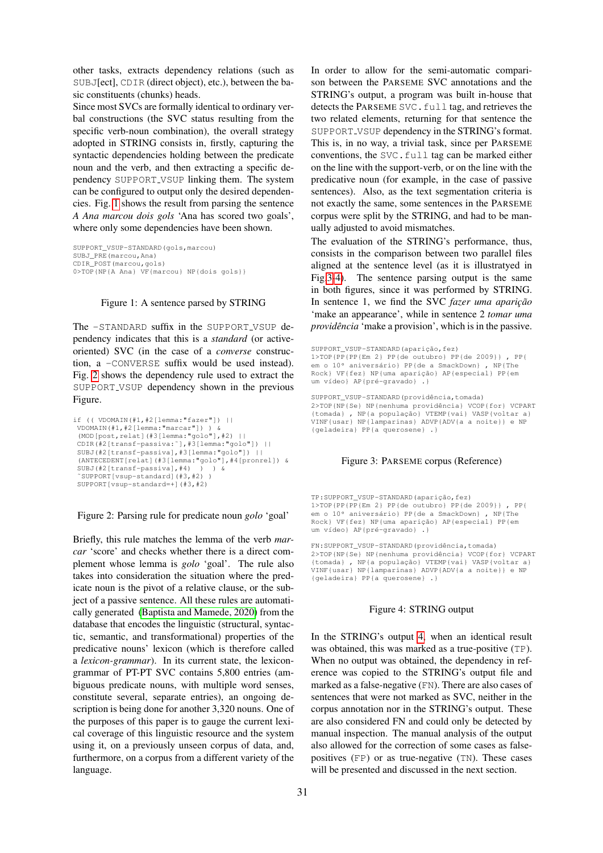other tasks, extracts dependency relations (such as SUBJ[ect], CDIR (direct object), etc.), between the basic constituents (chunks) heads.

Since most SVCs are formally identical to ordinary verbal constructions (the SVC status resulting from the specific verb-noun combination), the overall strategy adopted in STRING consists in, firstly, capturing the syntactic dependencies holding between the predicate noun and the verb, and then extracting a specific dependency SUPPORT VSUP linking them. The system can be configured to output only the desired dependencies. Fig. [1](#page-5-0) shows the result from parsing the sentence *A Ana marcou dois gols* 'Ana has scored two goals', where only some dependencies have been shown.

SUPPORT\_VSUP-STANDARD(gols,marcou) SUBJ\_PRE(marcou,Ana) CDIR\_POST(marcou,gols) 0>TOP{NP{A Ana} VF{marcou} NP{dois gols}}

## <span id="page-5-0"></span>Figure 1: A sentence parsed by STRING

The -STANDARD suffix in the SUPPORT VSUP dependency indicates that this is a *standard* (or activeoriented) SVC (in the case of a *converse* construction, a -CONVERSE suffix would be used instead). Fig. [2](#page-5-1) shows the dependency rule used to extract the SUPPORT VSUP dependency shown in the previous Figure.

```
if (( VDOMAIN(#1,#2[lemma:"fazer"]) ||
VDOMAIN(#1,#2[lemma:"marcar"]) ) &
 (MOD[post,relat](#3[lemma:"golo"],#2) ||
 CDIR(#2[transf-passiva:˜],#3[lemma:"golo"]) ||
SUBJ(#2[transf-passiva],#3[lemma:"golo"]) ||
 (ANTECEDENT[relat](#3[lemma:"golo"],#4[pronrel]) &
 SUBJ(#2[transf-passiva],#4) ) ) &
 ˜SUPPORT[vsup-standard](#3,#2) )
SUPPORT[vsup-standard=+](#3,#2)
```
### <span id="page-5-1"></span>Figure 2: Parsing rule for predicate noun *golo* 'goal'

Briefly, this rule matches the lemma of the verb *marcar* 'score' and checks whether there is a direct complement whose lemma is *golo* 'goal'. The rule also takes into consideration the situation where the predicate noun is the pivot of a relative clause, or the subject of a passive sentence. All these rules are automatically generated [\(Baptista and Mamede, 2020\)](#page-8-3) from the database that encodes the linguistic (structural, syntactic, semantic, and transformational) properties of the predicative nouns' lexicon (which is therefore called a *lexicon-grammar*). In its current state, the lexicongrammar of PT-PT SVC contains 5,800 entries (ambiguous predicate nouns, with multiple word senses, constitute several, separate entries), an ongoing description is being done for another 3,320 nouns. One of the purposes of this paper is to gauge the current lexical coverage of this linguistic resource and the system using it, on a previously unseen corpus of data, and, furthermore, on a corpus from a different variety of the language.

In order to allow for the semi-automatic comparison between the PARSEME SVC annotations and the STRING's output, a program was built in-house that detects the PARSEME SVC. full tag, and retrieves the two related elements, returning for that sentence the SUPPORT VSUP dependency in the STRING's format. This is, in no way, a trivial task, since per PARSEME conventions, the SVC. full tag can be marked either on the line with the support-verb, or on the line with the predicative noun (for example, in the case of passive sentences). Also, as the text segmentation criteria is not exactly the same, some sentences in the PARSEME corpus were split by the STRING, and had to be manually adjusted to avoid mismatches.

The evaluation of the STRING's performance, thus, consists in the comparison between two parallel files aligned at the sentence level (as it is illustratyed in Fig[.3](#page-5-2)[-4\)](#page-5-3). The sentence parsing output is the same in both figures, since it was performed by STRING. In sentence 1, we find the SVC *fazer uma aparição* 'make an appearance', while in sentence 2 *tomar uma providência* 'make a provision', which is in the passive.

SUPPORT\_VSUP-STANDARD(aparição,fez) 1>TOP{PP{PP{Em 2} PP{de outubro} PP{de 2009}} , PP{ em o 10° aniversário} PP{de a SmackDown} , NP{The<br>Rock} VF{fez} NP{uma aparição} AP{especial} PP{em um vídeo} AP{pré-gravado} .}

SUPPORT\_VSUP-STANDARD(providência,tomada) 2>TOP{NP{Se} NP{nenhuma providência} VCOP{for} VCPART {tomada} , NP{a população} VTEMP{vai} VASP{voltar a}<br>VINF{usar} NP{lamparinas} ADVP{ADV{a a noite}} e NP {geladeira} PP{a querosene} .}

## <span id="page-5-2"></span>Figure 3: PARSEME corpus (Reference)

TP:SUPPORT\_VSUP-STANDARD(aparição,fez) 1>TOP{PP{PP{Em 2} PP{de outubro} PP{de 2009}} , PP{ em o 10° aniversário} PP{de a SmackDown} , NP{The Rock} VF{fez} NP{uma aparição} AP{especial} PP{em  $\lim_{x \to 0}$   $\lim_{x \to 0}$   $\lim_{x \to 0}$   $\lim_{x \to 0}$   $\lim_{x \to 0}$   $\lim_{x \to 0}$   $\lim_{x \to 0}$   $\lim_{x \to 0}$   $\lim_{x \to 0}$ 

FN: SUPPORT\_VSUP-STANDARD(providência, tomada) 2>TOP{NP{Se} NP{nenhuma providência} VCOP{for} VCPART {tomada} , NP{a população} VTEMP{vai} VASP{voltar a} VINF{usar} NP{lamparinas} ADVP{ADV{a a noite}} e NP {geladeira} PP{a querosene} .}

#### <span id="page-5-3"></span>Figure 4: STRING output

In the STRING's output [4,](#page-5-3) when an identical result was obtained, this was marked as a true-positive (TP). When no output was obtained, the dependency in reference was copied to the STRING's output file and marked as a false-negative (FN). There are also cases of sentences that were not marked as SVC, neither in the corpus annotation nor in the STRING's output. These are also considered FN and could only be detected by manual inspection. The manual analysis of the output also allowed for the correction of some cases as falsepositives (FP) or as true-negative (TN). These cases will be presented and discussed in the next section.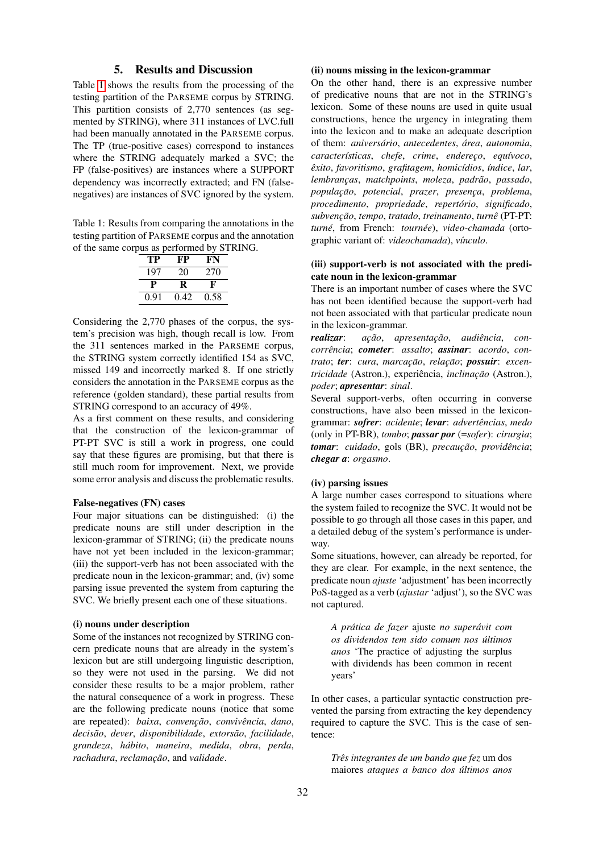## 5. Results and Discussion

<span id="page-6-0"></span>Table [1](#page-6-1) shows the results from the processing of the testing partition of the PARSEME corpus by STRING. This partition consists of 2,770 sentences (as segmented by STRING), where 311 instances of LVC.full had been manually annotated in the PARSEME corpus. The TP (true-positive cases) correspond to instances where the STRING adequately marked a SVC; the FP (false-positives) are instances where a SUPPORT dependency was incorrectly extracted; and FN (falsenegatives) are instances of SVC ignored by the system.

<span id="page-6-1"></span>Table 1: Results from comparing the annotations in the testing partition of PARSEME corpus and the annotation of the same corpus as performed by STRING.

| TР  | FP | FN  |
|-----|----|-----|
| 197 | 20 | 270 |
| p   | R  | F   |
|     |    |     |

Considering the 2,770 phases of the corpus, the system's precision was high, though recall is low. From the 311 sentences marked in the PARSEME corpus, the STRING system correctly identified 154 as SVC, missed 149 and incorrectly marked 8. If one strictly considers the annotation in the PARSEME corpus as the reference (golden standard), these partial results from STRING correspond to an accuracy of 49%.

As a first comment on these results, and considering that the construction of the lexicon-grammar of PT-PT SVC is still a work in progress, one could say that these figures are promising, but that there is still much room for improvement. Next, we provide some error analysis and discuss the problematic results.

## False-negatives (FN) cases

Four major situations can be distinguished: (i) the predicate nouns are still under description in the lexicon-grammar of STRING; (ii) the predicate nouns have not yet been included in the lexicon-grammar; (iii) the support-verb has not been associated with the predicate noun in the lexicon-grammar; and, (iv) some parsing issue prevented the system from capturing the SVC. We briefly present each one of these situations.

## (i) nouns under description

Some of the instances not recognized by STRING concern predicate nouns that are already in the system's lexicon but are still undergoing linguistic description, so they were not used in the parsing. We did not consider these results to be a major problem, rather the natural consequence of a work in progress. These are the following predicate nouns (notice that some are repeated): *baixa*, *convenc¸ao˜* , *convivencia ˆ* , *dano*, *decisao˜* , *dever*, *disponibilidade*, *extorsao˜* , *facilidade*, *grandeza*, *habito ´* , *maneira*, *medida*, *obra*, *perda*,  $rachadura$ ,  $reclamação$ , and *validade*.

## (ii) nouns missing in the lexicon-grammar

On the other hand, there is an expressive number of predicative nouns that are not in the STRING's lexicon. Some of these nouns are used in quite usual constructions, hence the urgency in integrating them into the lexicon and to make an adequate description of them: *aniversario ´* , *antecedentes*, *area ´* , *autonomia*, *caracter´ısticas*, *chefe*, *crime*, *enderec¸o*, *equ´ıvoco*, *exito ˆ* , *favoritismo*, *grafitagem*, *homic´ıdios*, *´ındice*, *lar*, *lembranc¸as*, *matchpoints*, *moleza*, *padrao˜* , *passado*, *populac¸ao˜* , *potencial*, *prazer*, *presenc¸a*, *problema*, *procedimento*, *propriedade*, *repertorio ´* , *significado*, *subvenc¸ao˜* , *tempo*, *tratado*, *treinamento*, *turneˆ* (PT-PT: *turné*, from French: *tournée*), *video-chamada* (ortographic variant of: *videochamada*), *vínculo*.

## (iii) support-verb is not associated with the predicate noun in the lexicon-grammar

There is an important number of cases where the SVC has not been identified because the support-verb had not been associated with that particular predicate noun in the lexicon-grammar.

 $\textit{realizar:}$  ação, apresentação, audiência, con*correncia ˆ* ; *cometer*: *assalto*; *assinar*: *acordo*, *con* $trato$ ; **ter**: *cura*, *marcação*, *relação*; **possuir**: *excentricidade* (Astron.), experiência, *inclinação* (Astron.), *poder*; *apresentar*: *sinal*.

Several support-verbs, often occurring in converse constructions, have also been missed in the lexicongrammar: *sofrer*: *acidente*; *levar*: *advertencias ˆ* , *medo* (only in PT-BR), *tombo*; *passar por* (=*sofer*): *cirurgia*;  $tomar:$  *cuidado*, gols (BR), *precaução*, *providência*; *chegar a*: *orgasmo*.

## (iv) parsing issues

A large number cases correspond to situations where the system failed to recognize the SVC. It would not be possible to go through all those cases in this paper, and a detailed debug of the system's performance is underway.

Some situations, however, can already be reported, for they are clear. For example, in the next sentence, the predicate noun *ajuste* 'adjustment' has been incorrectly PoS-tagged as a verb (*ajustar* 'adjust'), so the SVC was not captured.

*A pratica de fazer ´* ajuste *no superavit com ´ os dividendos tem sido comum nos ultimos ´ anos* 'The practice of adjusting the surplus with dividends has been common in recent years'

In other cases, a particular syntactic construction prevented the parsing from extracting the key dependency required to capture the SVC. This is the case of sentence:

*Três integrantes de um bando que fez* um dos maiores *ataques a banco dos ultimos anos ´*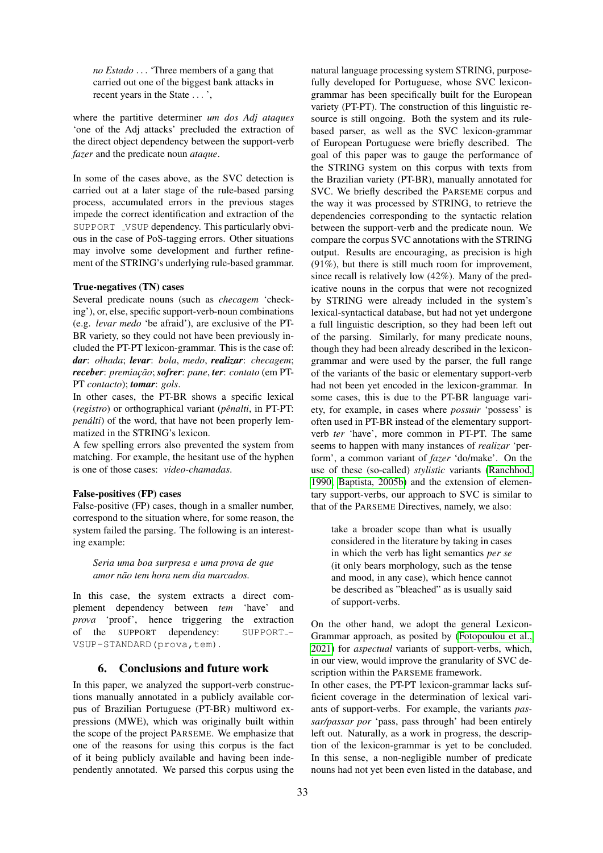*no Estado* . . . 'Three members of a gang that carried out one of the biggest bank attacks in recent years in the State ...,

where the partitive determiner *um dos Adj ataques* 'one of the Adj attacks' precluded the extraction of the direct object dependency between the support-verb *fazer* and the predicate noun *ataque*.

In some of the cases above, as the SVC detection is carried out at a later stage of the rule-based parsing process, accumulated errors in the previous stages impede the correct identification and extraction of the SUPPORT \_VSUP dependency. This particularly obvious in the case of PoS-tagging errors. Other situations may involve some development and further refinement of the STRING's underlying rule-based grammar.

## True-negatives (TN) cases

Several predicate nouns (such as *checagem* 'checking'), or, else, specific support-verb-noun combinations (e.g. *levar medo* 'be afraid'), are exclusive of the PT-BR variety, so they could not have been previously included the PT-PT lexicon-grammar. This is the case of: *dar*: *olhada*; *levar*: *bola*, *medo*, *realizar*: *checagem*; *receber: premiacão: sofrer: pane. ter: contato* (em PT-PT *contacto*); *tomar*: *gols*.

In other cases, the PT-BR shows a specific lexical (*registro*) or orthographical variant (*pênalti*, in PT-PT: *penálti*) of the word, that have not been properly lemmatized in the STRING's lexicon.

A few spelling errors also prevented the system from matching. For example, the hesitant use of the hyphen is one of those cases: *video-chamadas*.

### False-positives (FP) cases

False-positive (FP) cases, though in a smaller number, correspond to the situation where, for some reason, the system failed the parsing. The following is an interesting example:

*Seria uma boa surpresa e uma prova de que amor nao tem hora nem dia marcados. ˜*

In this case, the system extracts a direct complement dependency between *tem* 'have' and *prova* 'proof', hence triggering the extraction of the SUPPORT dependency: SUPPORT - VSUP-STANDARD(prova,tem).

## 6. Conclusions and future work

<span id="page-7-0"></span>In this paper, we analyzed the support-verb constructions manually annotated in a publicly available corpus of Brazilian Portuguese (PT-BR) multiword expressions (MWE), which was originally built within the scope of the project PARSEME. We emphasize that one of the reasons for using this corpus is the fact of it being publicly available and having been independently annotated. We parsed this corpus using the

natural language processing system STRING, purposefully developed for Portuguese, whose SVC lexicongrammar has been specifically built for the European variety (PT-PT). The construction of this linguistic resource is still ongoing. Both the system and its rulebased parser, as well as the SVC lexicon-grammar of European Portuguese were briefly described. The goal of this paper was to gauge the performance of the STRING system on this corpus with texts from the Brazilian variety (PT-BR), manually annotated for SVC. We briefly described the PARSEME corpus and the way it was processed by STRING, to retrieve the dependencies corresponding to the syntactic relation between the support-verb and the predicate noun. We compare the corpus SVC annotations with the STRING output. Results are encouraging, as precision is high (91%), but there is still much room for improvement, since recall is relatively low (42%). Many of the predicative nouns in the corpus that were not recognized by STRING were already included in the system's lexical-syntactical database, but had not yet undergone a full linguistic description, so they had been left out of the parsing. Similarly, for many predicate nouns, though they had been already described in the lexicongrammar and were used by the parser, the full range of the variants of the basic or elementary support-verb had not been yet encoded in the lexicon-grammar. In some cases, this is due to the PT-BR language variety, for example, in cases where *possuir* 'possess' is often used in PT-BR instead of the elementary supportverb *ter* 'have', more common in PT-PT. The same seems to happen with many instances of *realizar* 'perform', a common variant of *fazer* 'do/make'. On the use of these (so-called) *stylistic* variants [\(Ranchhod,](#page-9-9) [1990;](#page-9-9) [Baptista, 2005b\)](#page-8-2) and the extension of elementary support-verbs, our approach to SVC is similar to that of the PARSEME Directives, namely, we also:

take a broader scope than what is usually considered in the literature by taking in cases in which the verb has light semantics *per se* (it only bears morphology, such as the tense and mood, in any case), which hence cannot be described as "bleached" as is usually said of support-verbs.

On the other hand, we adopt the general Lexicon-Grammar approach, as posited by [\(Fotopoulou et al.,](#page-9-5) [2021\)](#page-9-5) for *aspectual* variants of support-verbs, which, in our view, would improve the granularity of SVC description within the PARSEME framework. In other cases, the PT-PT lexicon-grammar lacks sufficient coverage in the determination of lexical variants of support-verbs. For example, the variants *passar/passar por* 'pass, pass through' had been entirely left out. Naturally, as a work in progress, the description of the lexicon-grammar is yet to be concluded. In this sense, a non-negligible number of predicate nouns had not yet been even listed in the database, and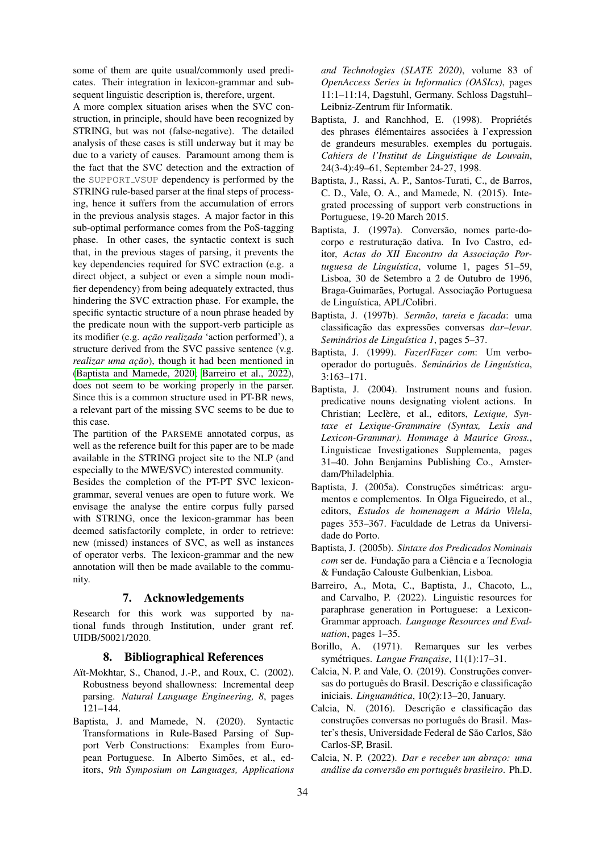some of them are quite usual/commonly used predicates. Their integration in lexicon-grammar and subsequent linguistic description is, therefore, urgent.

A more complex situation arises when the SVC construction, in principle, should have been recognized by STRING, but was not (false-negative). The detailed analysis of these cases is still underway but it may be due to a variety of causes. Paramount among them is the fact that the SVC detection and the extraction of the SUPPORT VSUP dependency is performed by the STRING rule-based parser at the final steps of processing, hence it suffers from the accumulation of errors in the previous analysis stages. A major factor in this sub-optimal performance comes from the PoS-tagging phase. In other cases, the syntactic context is such that, in the previous stages of parsing, it prevents the key dependencies required for SVC extraction (e.g. a direct object, a subject or even a simple noun modifier dependency) from being adequately extracted, thus hindering the SVC extraction phase. For example, the specific syntactic structure of a noun phrase headed by the predicate noun with the support-verb participle as its modifier (e.g. *ação realizada* 'action performed'), a structure derived from the SVC passive sentence (v.g. *realizar uma acão*), though it had been mentioned in [\(Baptista and Mamede, 2020;](#page-8-3) [Barreiro et al., 2022\)](#page-8-11), does not seem to be working properly in the parser. Since this is a common structure used in PT-BR news, a relevant part of the missing SVC seems to be due to this case.

The partition of the PARSEME annotated corpus, as well as the reference built for this paper are to be made available in the STRING project site to the NLP (and especially to the MWE/SVC) interested community.

Besides the completion of the PT-PT SVC lexicongrammar, several venues are open to future work. We envisage the analyse the entire corpus fully parsed with STRING, once the lexicon-grammar has been deemed satisfactorily complete, in order to retrieve: new (missed) instances of SVC, as well as instances of operator verbs. The lexicon-grammar and the new annotation will then be made available to the community.

## 7. Acknowledgements

Research for this work was supported by national funds through Institution, under grant ref. UIDB/50021/2020.

## 8. Bibliographical References

- <span id="page-8-14"></span>Aït-Mokhtar, S., Chanod, J.-P., and Roux, C. (2002). Robustness beyond shallowness: Incremental deep parsing. *Natural Language Engineering, 8*, pages 121–144.
- <span id="page-8-3"></span>Baptista, J. and Mamede, N. (2020). Syntactic Transformations in Rule-Based Parsing of Support Verb Constructions: Examples from European Portuguese. In Alberto Simões, et al., editors, *9th Symposium on Languages, Applications*

*and Technologies (SLATE 2020)*, volume 83 of *OpenAccess Series in Informatics (OASIcs)*, pages 11:1–11:14, Dagstuhl, Germany. Schloss Dagstuhl– Leibniz-Zentrum für Informatik.

- <span id="page-8-12"></span>Baptista, J. and Ranchhod, E. (1998). Propriétés des phrases élémentaires associées à l'expression de grandeurs mesurables. exemples du portugais. *Cahiers de l'Institut de Linguistique de Louvain*, 24(3-4):49–61, September 24-27, 1998.
- <span id="page-8-10"></span>Baptista, J., Rassi, A. P., Santos-Turati, C., de Barros, C. D., Vale, O. A., and Mamede, N. (2015). Integrated processing of support verb constructions in Portuguese, 19-20 March 2015.
- <span id="page-8-4"></span>Baptista, J. (1997a). Conversão, nomes parte-docorpo e restruturação dativa. In Ivo Castro, editor, *Actas do XII Encontro da Associação Por*tuguesa de Linguística, volume 1, pages 51-59, Lisboa, 30 de Setembro a 2 de Outubro de 1996, Braga-Guimarães, Portugal. Associação Portuguesa de Linguística, APL/Colibri.
- <span id="page-8-0"></span>Baptista, J. (1997b). *Sermão*, *tareia* e *facada*: uma classificação das expressões conversas dar-levar. *Seminários de Linguística 1*, pages 5–37.
- <span id="page-8-13"></span>Baptista, J. (1999). *Fazer*/*Fazer com*: Um verbooperador do portugues. ˆ *Seminarios de Lingu ´ ´ıstica*, 3:163–171.
- <span id="page-8-5"></span>Baptista, J. (2004). Instrument nouns and fusion. predicative nouns designating violent actions. In Christian; Leclère, et al., editors, *Lexique*, Syn*taxe et Lexique-Grammaire (Syntax, Lexis and Lexicon-Grammar). Hommage a Maurice Gross. `* , Linguisticae Investigationes Supplementa, pages 31–40. John Benjamins Publishing Co., Amsterdam/Philadelphia.
- <span id="page-8-6"></span>Baptista, J. (2005a). Construções simétricas: argumentos e complementos. In Olga Figueiredo, et al., editors, Estudos de homenagem a Mário Vilela, pages 353–367. Faculdade de Letras da Universidade do Porto.
- <span id="page-8-2"></span>Baptista, J. (2005b). *Sintaxe dos Predicados Nominais com* ser de. Fundação para a Ciência e a Tecnologia & Fundação Calouste Gulbenkian, Lisboa.
- <span id="page-8-11"></span>Barreiro, A., Mota, C., Baptista, J., Chacoto, L., and Carvalho, P. (2022). Linguistic resources for paraphrase generation in Portuguese: a Lexicon-Grammar approach. *Language Resources and Evaluation*, pages 1–35.
- <span id="page-8-7"></span>Borillo, A. (1971). Remarques sur les verbes symétriques. *Langue Française*, 11(1):17-31.
- <span id="page-8-9"></span>Calcia, N. P. and Vale, O. (2019). Construções conversas do português do Brasil. Descrição e classificação iniciais. *Linguamática*, 10(2):13-20, January.
- <span id="page-8-8"></span>Calcia, N. (2016). Descrição e classificação das construções conversas no português do Brasil. Master's thesis, Universidade Federal de São Carlos, São Carlos-SP, Brasil.
- <span id="page-8-1"></span>Calcia, N. P. (2022). *Dar e receber um abraço: uma analise da convers ´ ao em portugu ˜ es brasileiro ˆ* . Ph.D.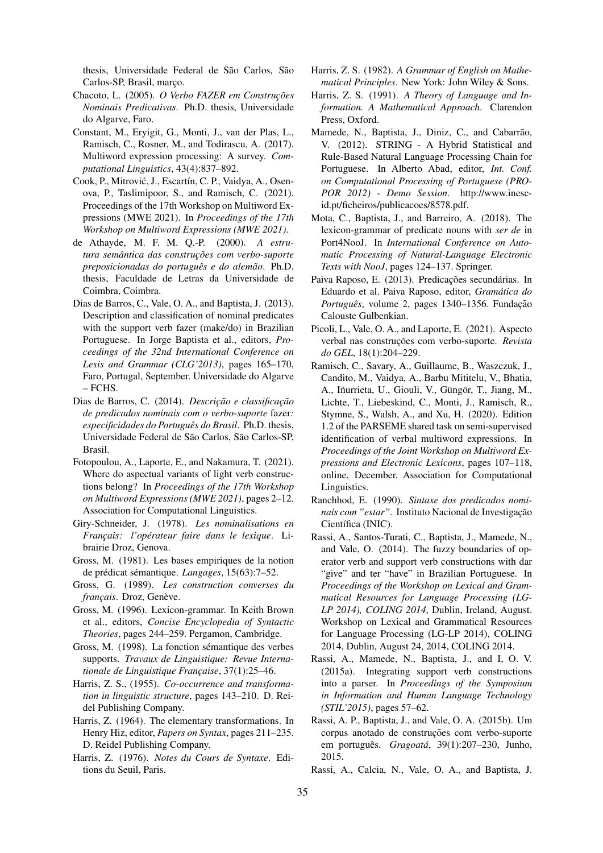thesis, Universidade Federal de São Carlos, São Carlos-SP, Brasil, março.

- <span id="page-9-6"></span>Chacoto, L. (2005). *O Verbo FAZER em Construções Nominais Predicativas*. Ph.D. thesis, Universidade do Algarve, Faro.
- <span id="page-9-3"></span>Constant, M., Eryigit, G., Monti, J., van der Plas, L., Ramisch, C., Rosner, M., and Todirascu, A. (2017). Multiword expression processing: A survey. *Computational Linguistics*, 43(4):837–892.
- <span id="page-9-21"></span>Cook, P., Mitrović, J., Escartín, C. P., Vaidya, A., Osenova, P., Taslimipoor, S., and Ramisch, C. (2021). Proceedings of the 17th Workshop on Multiword Expressions (MWE 2021). In *Proceedings of the 17th Workshop on Multiword Expressions (MWE 2021)*.
- <span id="page-9-26"></span>de Athayde, M. F. M. Q.-P. (2000). *A estrutura semantica das construc¸ ˆ oes com verbo-suporte ˜ preposicionadas do português e do alemão.* Ph.D. thesis, Faculdade de Letras da Universidade de Coimbra, Coimbra.
- <span id="page-9-17"></span>Dias de Barros, C., Vale, O. A., and Baptista, J. (2013). Description and classification of nominal predicates with the support verb fazer (make/do) in Brazilian Portuguese. In Jorge Baptista et al., editors, *Proceedings of the 32nd International Conference on Lexis and Grammar (CLG'2013)*, pages 165–170, Faro, Portugal, September. Universidade do Algarve – FCHS.
- <span id="page-9-7"></span>Dias de Barros, C. (2014). *Descrição e classificação de predicados nominais com o verbo-suporte* fazer*: especificidades do Portugues do Brasil ˆ* . Ph.D. thesis, Universidade Federal de São Carlos, São Carlos-SP, Brasil.
- <span id="page-9-5"></span>Fotopoulou, A., Laporte, E., and Nakamura, T. (2021). Where do aspectual variants of light verb constructions belong? In *Proceedings of the 17th Workshop on Multiword Expressions (MWE 2021)*, pages 2–12. Association for Computational Linguistics.
- <span id="page-9-8"></span>Giry-Schneider, J. (1978). *Les nominalisations en Français: l'opérateur faire dans le lexique.* Librairie Droz, Genova.
- <span id="page-9-0"></span>Gross, M. (1981). Les bases empiriques de la notion de prédicat sémantique. *Langages*, 15(63):7–52.
- <span id="page-9-4"></span>Gross, G. (1989). *Les construction converses du français*. Droz, Genève.
- <span id="page-9-1"></span>Gross, M. (1996). Lexicon-grammar. In Keith Brown et al., editors, *Concise Encyclopedia of Syntactic Theories*, pages 244–259. Pergamon, Cambridge.
- <span id="page-9-2"></span>Gross, M. (1998). La fonction sémantique des verbes supports. *Travaux de Linguistique: Revue Internationale de Linguistique Francaise*, 37(1):25–46.
- <span id="page-9-11"></span>Harris, Z. S., (1955). *Co-occurrence and transformation in linguistic structure*, pages 143–210. D. Reidel Publishing Company.
- <span id="page-9-12"></span>Harris, Z. (1964). The elementary transformations. In Henry Hiz, editor, *Papers on Syntax*, pages 211–235. D. Reidel Publishing Company.
- <span id="page-9-13"></span>Harris, Z. (1976). *Notes du Cours de Syntaxe*. Editions du Seuil, Paris.
- <span id="page-9-14"></span>Harris, Z. S. (1982). *A Grammar of English on Mathematical Principles*. New York: John Wiley & Sons.
- <span id="page-9-15"></span>Harris, Z. S. (1991). *A Theory of Language and Information. A Mathematical Approach*. Clarendon Press, Oxford.
- <span id="page-9-10"></span>Mamede, N., Baptista, J., Diniz, C., and Cabarrão, V. (2012). STRING - A Hybrid Statistical and Rule-Based Natural Language Processing Chain for Portuguese. In Alberto Abad, editor, *Int. Conf. on Computational Processing of Portuguese (PRO-POR 2012) - Demo Session*. http://www.inescid.pt/ficheiros/publicacoes/8578.pdf.
- <span id="page-9-24"></span>Mota, C., Baptista, J., and Barreiro, A. (2018). The lexicon-grammar of predicate nouns with *ser de* in Port4NooJ. In *International Conference on Automatic Processing of Natural-Language Electronic Texts with NooJ*, pages 124–137. Springer.
- <span id="page-9-25"></span>Paiva Raposo, E. (2013). Predicações secundárias. In Eduardo et al. Paiva Raposo, editor, *Gramatica do ´* Português, volume 2, pages 1340–1356. Fundação Calouste Gulbenkian.
- <span id="page-9-16"></span>Picoli, L., Vale, O. A., and Laporte, E. (2021). Aspecto verbal nas construções com verbo-suporte. Revista *do GEL*, 18(1):204–229.
- <span id="page-9-20"></span>Ramisch, C., Savary, A., Guillaume, B., Waszczuk, J., Candito, M., Vaidya, A., Barbu Mititelu, V., Bhatia, A., Iñurrieta, U., Giouli, V., Güngör, T., Jiang, M., Lichte, T., Liebeskind, C., Monti, J., Ramisch, R., Stymne, S., Walsh, A., and Xu, H. (2020). Edition 1.2 of the PARSEME shared task on semi-supervised identification of verbal multiword expressions. In *Proceedings of the Joint Workshop on Multiword Expressions and Electronic Lexicons*, pages 107–118, online, December. Association for Computational Linguistics.
- <span id="page-9-9"></span>Ranchhod, E. (1990). *Sintaxe dos predicados nomi*nais com "estar". Instituto Nacional de Investigação Científica (INIC).
- <span id="page-9-22"></span>Rassi, A., Santos-Turati, C., Baptista, J., Mamede, N., and Vale, O. (2014). The fuzzy boundaries of operator verb and support verb constructions with dar "give" and ter "have" in Brazilian Portuguese. In *Proceedings of the Workshop on Lexical and Grammatical Resources for Language Processing (LG-LP 2014), COLING 2014*, Dublin, Ireland, August. Workshop on Lexical and Grammatical Resources for Language Processing (LG-LP 2014), COLING 2014, Dublin, August 24, 2014, COLING 2014.
- <span id="page-9-23"></span>Rassi, A., Mamede, N., Baptista, J., and I, O. V. (2015a). Integrating support verb constructions into a parser. In *Proceedings of the Symposium in Information and Human Language Technology (STIL'2015)*, pages 57–62.
- <span id="page-9-19"></span>Rassi, A. P., Baptista, J., and Vale, O. A. (2015b). Um corpus anotado de construções com verbo-suporte em português. *Gragoatá*, 39(1):207-230, Junho, 2015.
- <span id="page-9-18"></span>Rassi, A., Calcia, N., Vale, O. A., and Baptista, J.